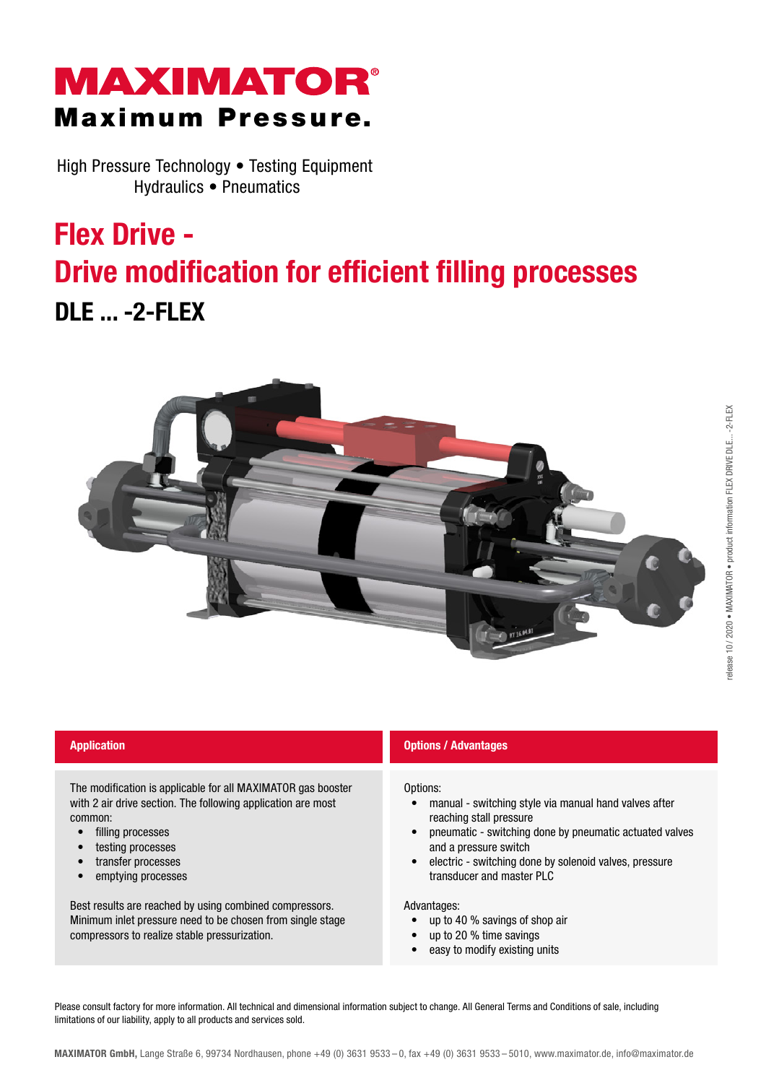### **MAXIMATOR®** Maximum Pressure.

High Pressure Technology • Testing Equipment Hydraulics • Pneumatics

# Flex Drive - Drive modification for efficient filling processes DLE ... -2-FLEX



The modification is applicable for all MAXIMATOR gas booster with 2 air drive section. The following application are most common:

- filling processes
- testing processes
- transfer processes
- emptying processes

Best results are reached by using combined compressors. Minimum inlet pressure need to be chosen from single stage compressors to realize stable pressurization.

### **Application Application Options / Advantages**

Options:

- manual switching style via manual hand valves after reaching stall pressure
- pneumatic switching done by pneumatic actuated valves and a pressure switch
- electric switching done by solenoid valves, pressure transducer and master PLC

Advantages:

- up to 40 % savings of shop air
- up to 20 % time savings
- easy to modify existing units

Please consult factory for more information. All technical and dimensional information subject to change. All General Terms and Conditions of sale, including limitations of our liability, apply to all products and services sold.